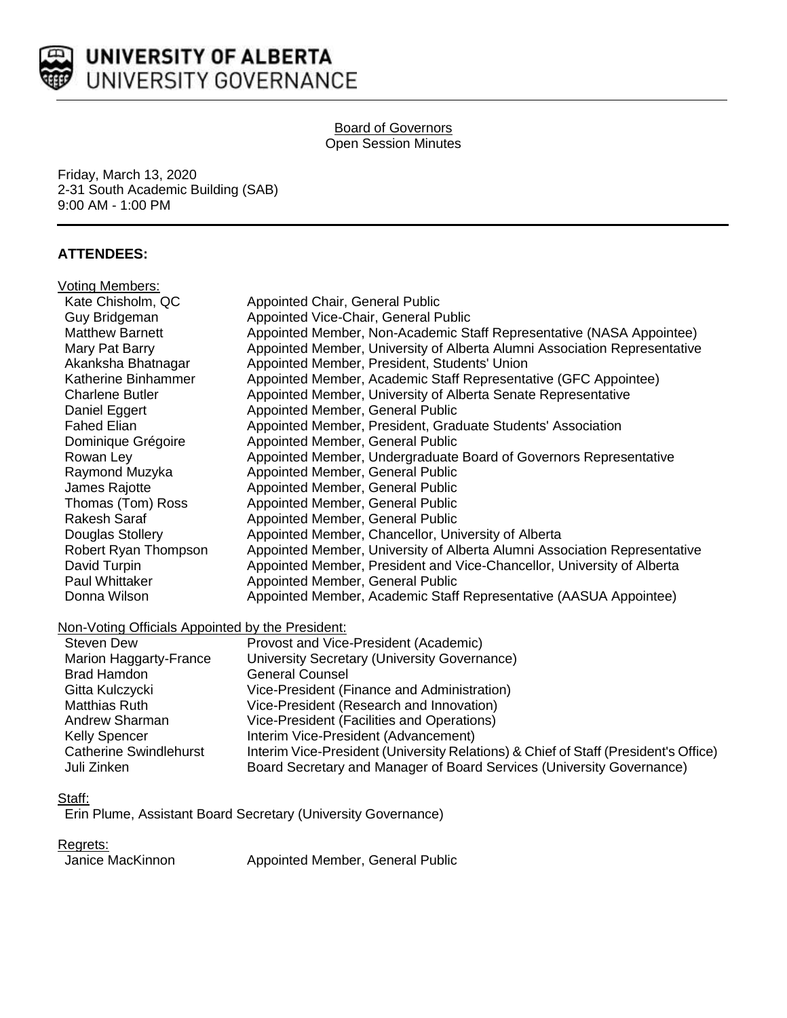

#### Board of Governors Open Session Minutes

Friday, March 13, 2020 2-31 South Academic Building (SAB) 9:00 AM - 1:00 PM

# **ATTENDEES:**

| Voting Members:                                  |                                                                                   |
|--------------------------------------------------|-----------------------------------------------------------------------------------|
| Kate Chisholm, QC                                | Appointed Chair, General Public                                                   |
| Guy Bridgeman                                    | Appointed Vice-Chair, General Public                                              |
| <b>Matthew Barnett</b>                           | Appointed Member, Non-Academic Staff Representative (NASA Appointee)              |
| Mary Pat Barry                                   | Appointed Member, University of Alberta Alumni Association Representative         |
| Akanksha Bhatnagar                               | Appointed Member, President, Students' Union                                      |
| Katherine Binhammer                              | Appointed Member, Academic Staff Representative (GFC Appointee)                   |
| <b>Charlene Butler</b>                           | Appointed Member, University of Alberta Senate Representative                     |
| Daniel Eggert                                    | Appointed Member, General Public                                                  |
| <b>Fahed Elian</b>                               | Appointed Member, President, Graduate Students' Association                       |
| Dominique Grégoire                               | Appointed Member, General Public                                                  |
| Rowan Ley                                        | Appointed Member, Undergraduate Board of Governors Representative                 |
| Raymond Muzyka                                   | Appointed Member, General Public                                                  |
| James Rajotte                                    | Appointed Member, General Public                                                  |
| Thomas (Tom) Ross                                | Appointed Member, General Public                                                  |
| <b>Rakesh Saraf</b>                              | Appointed Member, General Public                                                  |
| Douglas Stollery                                 | Appointed Member, Chancellor, University of Alberta                               |
| Robert Ryan Thompson                             | Appointed Member, University of Alberta Alumni Association Representative         |
| David Turpin                                     | Appointed Member, President and Vice-Chancellor, University of Alberta            |
| Paul Whittaker                                   | Appointed Member, General Public                                                  |
| Donna Wilson                                     | Appointed Member, Academic Staff Representative (AASUA Appointee)                 |
| Non-Voting Officials Appointed by the President: |                                                                                   |
| <b>Steven Dew</b>                                | Provost and Vice-President (Academic)                                             |
| Marion Haggarty-France                           | University Secretary (University Governance)                                      |
| <b>Brad Hamdon</b>                               | <b>General Counsel</b>                                                            |
| Gitta Kulczycki                                  | Vice-President (Finance and Administration)                                       |
| Matthias Ruth                                    | Vice-President (Research and Innovation)                                          |
| Andrew Sharman                                   | Vice-President (Facilities and Operations)                                        |
| <b>Kelly Spencer</b>                             | Interim Vice-President (Advancement)                                              |
| <b>Catherine Swindlehurst</b>                    | Interim Vice-President (University Relations) & Chief of Staff (President's Offic |

Interim Vice-President (University Relations) & Chief of Staff (President's Office)

# Staff:

Erin Plume, Assistant Board Secretary (University Governance)

#### Regrets:

Janice MacKinnon Appointed Member, General Public

Juli Zinken Board Secretary and Manager of Board Services (University Governance)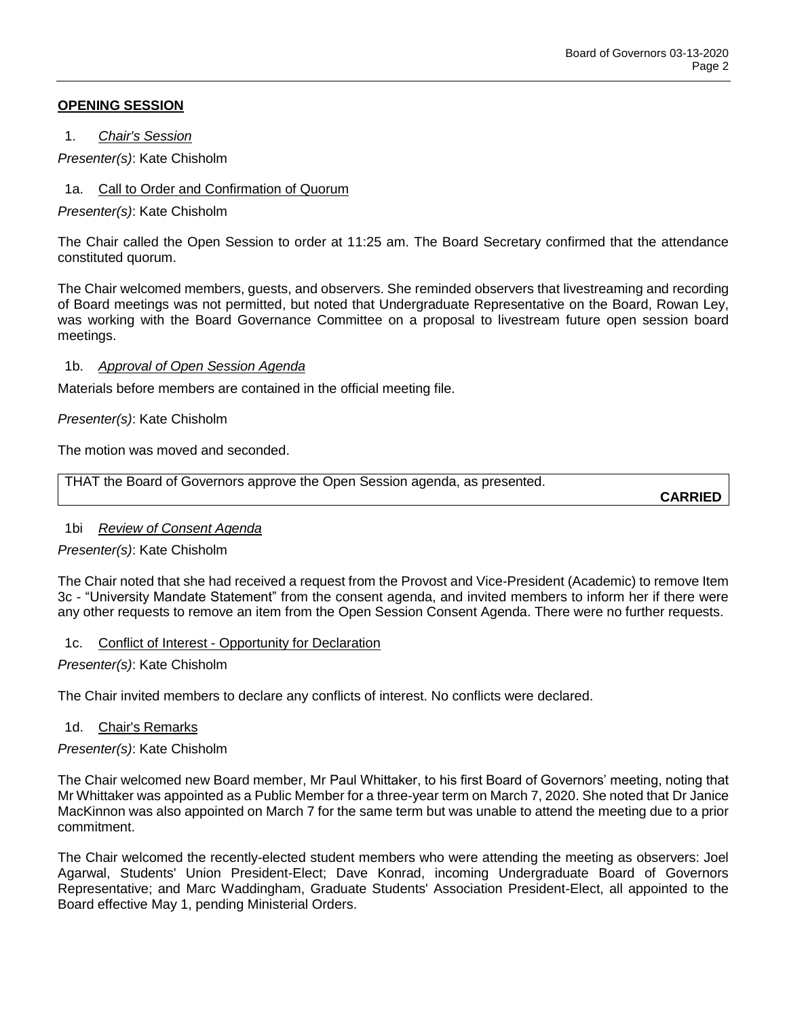## **OPENING SESSION**

1. *Chair's Session*

*Presenter(s)*: Kate Chisholm

1a. Call to Order and Confirmation of Quorum

*Presenter(s)*: Kate Chisholm

The Chair called the Open Session to order at 11:25 am. The Board Secretary confirmed that the attendance constituted quorum.

The Chair welcomed members, guests, and observers. She reminded observers that livestreaming and recording of Board meetings was not permitted, but noted that Undergraduate Representative on the Board, Rowan Ley, was working with the Board Governance Committee on a proposal to livestream future open session board meetings.

#### 1b. *Approval of Open Session Agenda*

Materials before members are contained in the official meeting file.

## *Presenter(s)*: Kate Chisholm

The motion was moved and seconded.

THAT the Board of Governors approve the Open Session agenda, as presented.

**CARRIED**

# 1bi *Review of Consent Agenda*

*Presenter(s)*: Kate Chisholm

The Chair noted that she had received a request from the Provost and Vice-President (Academic) to remove Item 3c - "University Mandate Statement" from the consent agenda, and invited members to inform her if there were any other requests to remove an item from the Open Session Consent Agenda. There were no further requests.

# 1c. Conflict of Interest - Opportunity for Declaration

*Presenter(s)*: Kate Chisholm

The Chair invited members to declare any conflicts of interest. No conflicts were declared.

#### 1d. Chair's Remarks

#### *Presenter(s)*: Kate Chisholm

The Chair welcomed new Board member, Mr Paul Whittaker, to his first Board of Governors' meeting, noting that Mr Whittaker was appointed as a Public Member for a three-year term on March 7, 2020. She noted that Dr Janice MacKinnon was also appointed on March 7 for the same term but was unable to attend the meeting due to a prior commitment.

The Chair welcomed the recently-elected student members who were attending the meeting as observers: Joel Agarwal, Students' Union President-Elect; Dave Konrad, incoming Undergraduate Board of Governors Representative; and Marc Waddingham, Graduate Students' Association President-Elect, all appointed to the Board effective May 1, pending Ministerial Orders.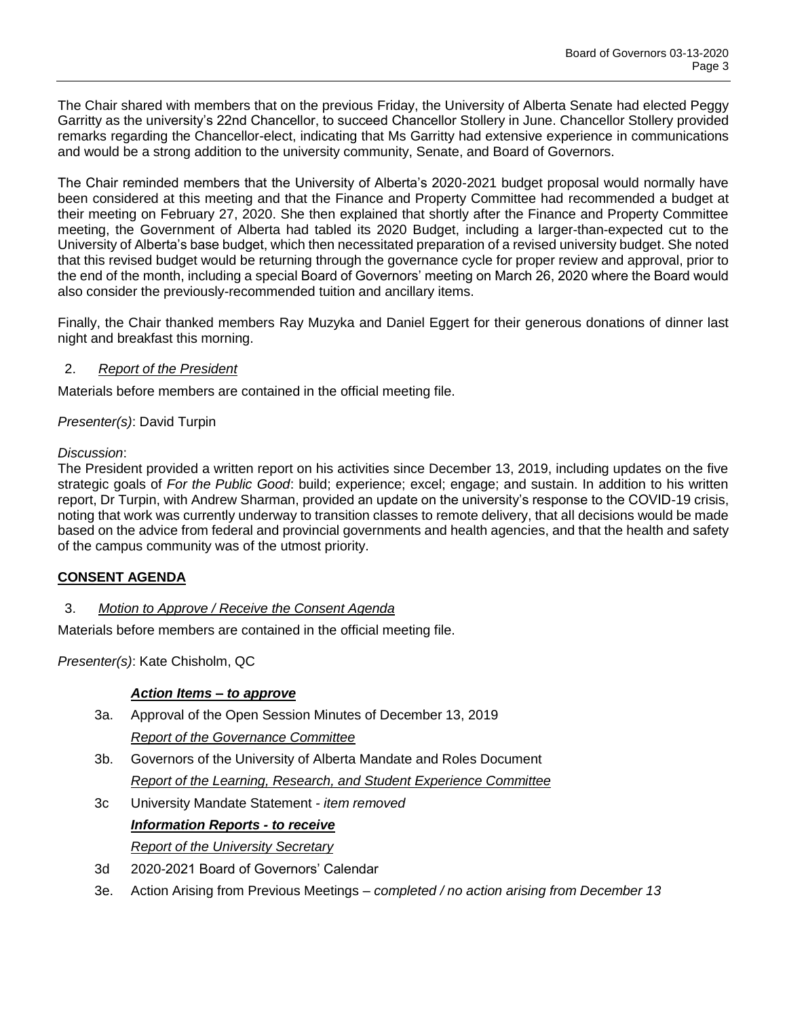The Chair shared with members that on the previous Friday, the University of Alberta Senate had elected Peggy Garritty as the university's 22nd Chancellor, to succeed Chancellor Stollery in June. Chancellor Stollery provided remarks regarding the Chancellor-elect, indicating that Ms Garritty had extensive experience in communications and would be a strong addition to the university community, Senate, and Board of Governors.

The Chair reminded members that the University of Alberta's 2020-2021 budget proposal would normally have been considered at this meeting and that the Finance and Property Committee had recommended a budget at their meeting on February 27, 2020. She then explained that shortly after the Finance and Property Committee meeting, the Government of Alberta had tabled its 2020 Budget, including a larger-than-expected cut to the University of Alberta's base budget, which then necessitated preparation of a revised university budget. She noted that this revised budget would be returning through the governance cycle for proper review and approval, prior to the end of the month, including a special Board of Governors' meeting on March 26, 2020 where the Board would also consider the previously-recommended tuition and ancillary items.

Finally, the Chair thanked members Ray Muzyka and Daniel Eggert for their generous donations of dinner last night and breakfast this morning.

## 2. *Report of the President*

Materials before members are contained in the official meeting file.

## *Presenter(s)*: David Turpin

## *Discussion*:

The President provided a written report on his activities since December 13, 2019, including updates on the five strategic goals of *For the Public Good*: build; experience; excel; engage; and sustain. In addition to his written report, Dr Turpin, with Andrew Sharman, provided an update on the university's response to the COVID-19 crisis, noting that work was currently underway to transition classes to remote delivery, that all decisions would be made based on the advice from federal and provincial governments and health agencies, and that the health and safety of the campus community was of the utmost priority.

# **CONSENT AGENDA**

# 3. *Motion to Approve / Receive the Consent Agenda*

Materials before members are contained in the official meeting file.

*Presenter(s)*: Kate Chisholm, QC

# *Action Items – to approve*

3a. Approval of the Open Session Minutes of December 13, 2019

*Report of the Governance Committee*

- 3b. Governors of the University of Alberta Mandate and Roles Document *Report of the Learning, Research, and Student Experience Committee*
- 3c University Mandate Statement *- item removed*

# *Information Reports - to receive*

*Report of the University Secretary*

- 3d 2020-2021 Board of Governors' Calendar
- 3e. Action Arising from Previous Meetings *– completed / no action arising from December 13*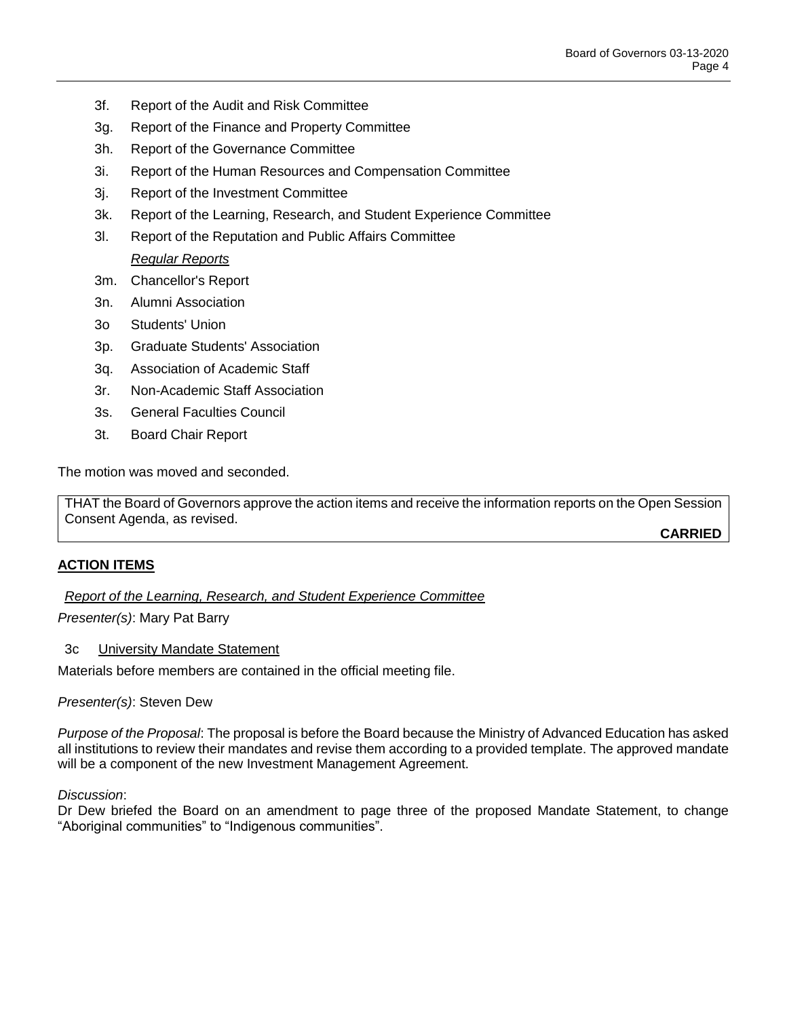- 3f. Report of the Audit and Risk Committee
- 3g. Report of the Finance and Property Committee
- 3h. Report of the Governance Committee
- 3i. Report of the Human Resources and Compensation Committee
- 3j. Report of the Investment Committee
- 3k. Report of the Learning, Research, and Student Experience Committee
- 3l. Report of the Reputation and Public Affairs Committee *Regular Reports*
- 3m. Chancellor's Report
- 3n. Alumni Association
- 3o Students' Union
- 3p. Graduate Students' Association
- 3q. Association of Academic Staff
- 3r. Non-Academic Staff Association
- 3s. General Faculties Council
- 3t. Board Chair Report

The motion was moved and seconded.

THAT the Board of Governors approve the action items and receive the information reports on the Open Session Consent Agenda, as revised.

**CARRIED**

#### **ACTION ITEMS**

*Report of the Learning, Research, and Student Experience Committee*

*Presenter(s)*: Mary Pat Barry

#### 3c University Mandate Statement

Materials before members are contained in the official meeting file.

*Presenter(s)*: Steven Dew

*Purpose of the Proposal*: The proposal is before the Board because the Ministry of Advanced Education has asked all institutions to review their mandates and revise them according to a provided template. The approved mandate will be a component of the new Investment Management Agreement.

#### *Discussion*:

Dr Dew briefed the Board on an amendment to page three of the proposed Mandate Statement, to change "Aboriginal communities" to "Indigenous communities".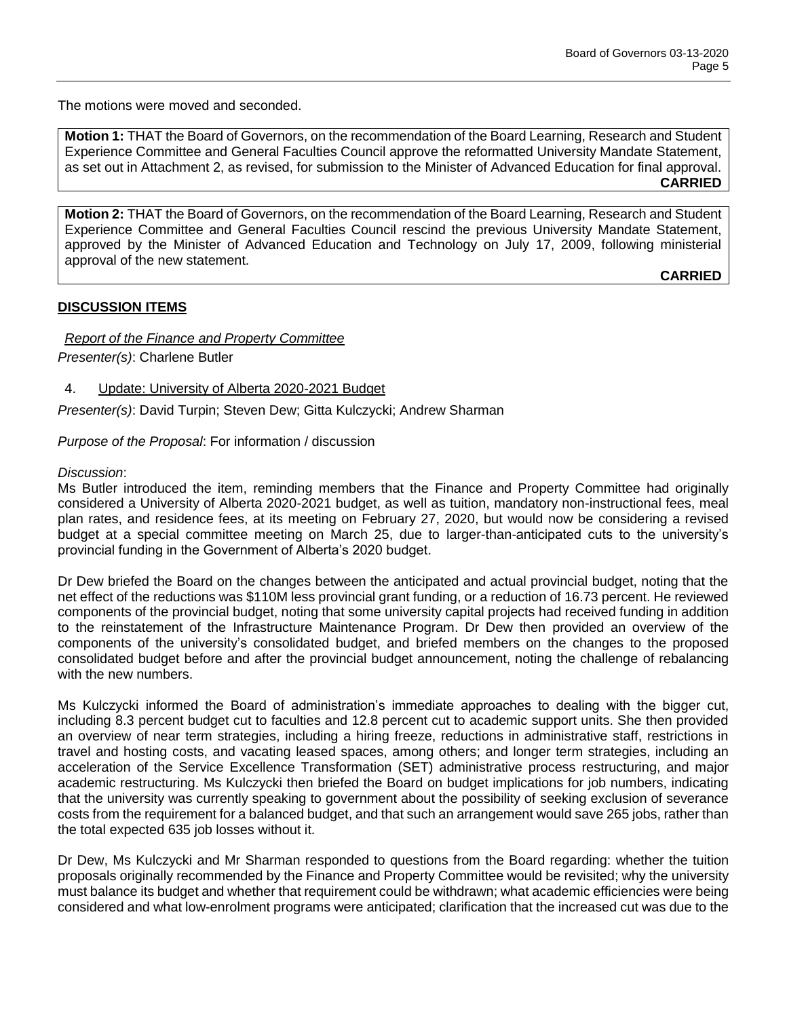The motions were moved and seconded.

**Motion 1:** THAT the Board of Governors, on the recommendation of the Board Learning, Research and Student Experience Committee and General Faculties Council approve the reformatted University Mandate Statement, as set out in Attachment 2, as revised, for submission to the Minister of Advanced Education for final approval. **CARRIED**

**Motion 2:** THAT the Board of Governors, on the recommendation of the Board Learning, Research and Student Experience Committee and General Faculties Council rescind the previous University Mandate Statement, approved by the Minister of Advanced Education and Technology on July 17, 2009, following ministerial approval of the new statement.

**CARRIED**

# **DISCUSSION ITEMS**

*Report of the Finance and Property Committee*

*Presenter(s)*: Charlene Butler

## 4. Update: University of Alberta 2020-2021 Budget

*Presenter(s)*: David Turpin; Steven Dew; Gitta Kulczycki; Andrew Sharman

*Purpose of the Proposal*: For information / discussion

#### *Discussion*:

Ms Butler introduced the item, reminding members that the Finance and Property Committee had originally considered a University of Alberta 2020-2021 budget, as well as tuition, mandatory non-instructional fees, meal plan rates, and residence fees, at its meeting on February 27, 2020, but would now be considering a revised budget at a special committee meeting on March 25, due to larger-than-anticipated cuts to the university's provincial funding in the Government of Alberta's 2020 budget.

Dr Dew briefed the Board on the changes between the anticipated and actual provincial budget, noting that the net effect of the reductions was \$110M less provincial grant funding, or a reduction of 16.73 percent. He reviewed components of the provincial budget, noting that some university capital projects had received funding in addition to the reinstatement of the Infrastructure Maintenance Program. Dr Dew then provided an overview of the components of the university's consolidated budget, and briefed members on the changes to the proposed consolidated budget before and after the provincial budget announcement, noting the challenge of rebalancing with the new numbers.

Ms Kulczycki informed the Board of administration's immediate approaches to dealing with the bigger cut, including 8.3 percent budget cut to faculties and 12.8 percent cut to academic support units. She then provided an overview of near term strategies, including a hiring freeze, reductions in administrative staff, restrictions in travel and hosting costs, and vacating leased spaces, among others; and longer term strategies, including an acceleration of the Service Excellence Transformation (SET) administrative process restructuring, and major academic restructuring. Ms Kulczycki then briefed the Board on budget implications for job numbers, indicating that the university was currently speaking to government about the possibility of seeking exclusion of severance costs from the requirement for a balanced budget, and that such an arrangement would save 265 jobs, rather than the total expected 635 job losses without it.

Dr Dew, Ms Kulczycki and Mr Sharman responded to questions from the Board regarding: whether the tuition proposals originally recommended by the Finance and Property Committee would be revisited; why the university must balance its budget and whether that requirement could be withdrawn; what academic efficiencies were being considered and what low-enrolment programs were anticipated; clarification that the increased cut was due to the